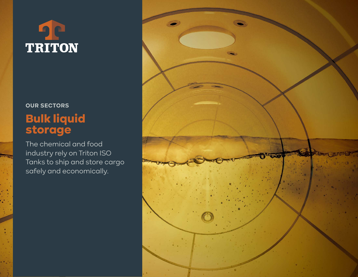# **TRITON**

## **OUR SECTORS**  Bulk liquid storage

The chemical and food industry rely on Triton ISO Tanks to ship and store cargo safely and economically.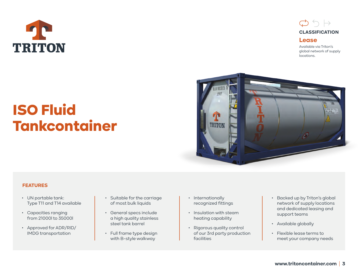



Available via Triton's global network of supply locations.

## ISO Fluid Tankcontainer



#### **FEATURES**

- UN portable tank: Type T11 and T14 available
- Capacities ranging from 21000l to 35000l
- Approved for ADR/RID/ IMDG transportation
- Suitable for the carriage of most bulk liquids
- General specs include a high quality stainless steel tank barrel
- Full frame type design with B-style walkway
- Internationally recognized fittings
- Insulation with steam heating capability
- Rigorous quality control of our 3rd party production facilities
- Backed up by Triton's global network of supply locations and dedicated leasing and support teams
- Available globally
- Flexible lease terms to meet your company needs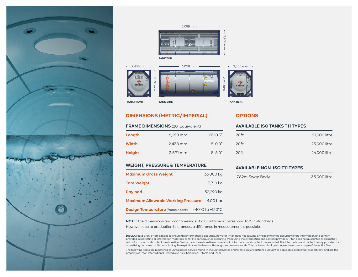





#### **DIMENSIONS (METRIC/IMPERIAL) OPTIONS**

#### **FRAME DIMENSIONS** (20' Equivalent)

| Length        | $6,058$ mm | 19' 10.5" |
|---------------|------------|-----------|
| <b>Width</b>  | 2,438 mm   | 8'00''    |
| <b>Height</b> | 2,591 mm   | 8'6.0''   |

#### **WEIGHT, PRESSURE & TEMPERATURE**

| <b>Maximum Gross Weight</b>               | 36,000 kg                           |
|-------------------------------------------|-------------------------------------|
| <b>Tare Weight</b>                        | 3,710 kg                            |
| <b>Payload</b>                            | 32,290 kg                           |
| <b>Maximum Allowable Working Pressure</b> | 4.00 bar                            |
| <b>Design Temperature</b> (frame & tank)  | $-40^{\circ}$ C to $+130^{\circ}$ C |

#### **AVAILABLE ISO TANKS T11 TYPES**

| 20ft             | 21,000 litre |
|------------------|--------------|
| 20 <sup>ft</sup> | 25,000 litre |
| 20 <sup>ft</sup> | 26,000 litre |

#### **AVAILABLE NON-ISO T11 TYPES**

| 7.82m Swap Body | 35,000 litre |
|-----------------|--------------|
|                 |              |

**NOTE:** The dimensions and door openings of all containers correspond to ISO standards.

However, due to production tolerances, a difference in measurement is possible.

**DISCLAIMER:** Every effort is made to ensure this information is accurate, however Triton does not assume any liability for the accuracy of the information and content provided in marketing or information materials, or for the consequences resulting from using the information and content provided. Triton does not guarantee or claim that said information and content is exhaustive. Claims as to the exhaustive nature of said information and content are excluded. The information and content is only provided for advertising purposes and is non-binding. No explicit or implied warranties or guarantees are made. The container displayed only represents a sample of the entire fleet.

The following items are registered or unregistered service marks in the United States and/or foreign jurisdictions pursuant to applicable intellectual property law and are the property of Triton International Limited and its subsidiaries: Triton® and TAL®.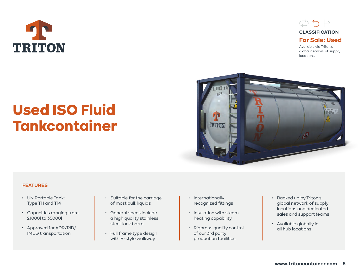



global network of supply locations.

## Used ISO Fluid Tankcontainer



#### **FEATURES**

- UN Portable Tank: Type T11 and T14
- Capacities ranging from 21000l to 35000l
- Approved for ADR/RID/ IMDG transportation
- Suitable for the carriage of most bulk liquids
- General specs include a high quality stainless steel tank barrel
- Full frame type design with B-style walkway
- Internationally recognized fittings
- Insulation with steam heating capability
- Rigorous quality control of our 3rd party production facilities
- Backed up by Triton's global network of supply locations and dedicated sales and support teams
- Available globally in all hub locations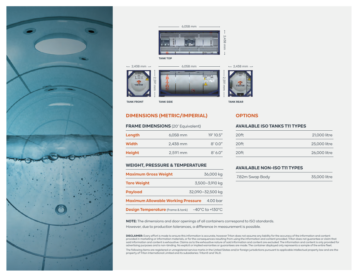





#### **DIMENSIONS (METRIC/IMPERIAL) OPTIONS**

#### **FRAME DIMENSIONS** (20' Equivalent)

| Length        | $6,058$ mm | 19'10.5'' |
|---------------|------------|-----------|
| <b>Width</b>  | 2,438 mm   | 8'00''    |
| <b>Height</b> | 2,591 mm   | 8'6.0''   |

#### **WEIGHT, PRESSURE & TEMPERATURE**

| <b>Maximum Gross Weight</b>               | 36,000 kg                           |
|-------------------------------------------|-------------------------------------|
| <b>Tare Weight</b>                        | 3,500-3,910 kg                      |
| <b>Payload</b>                            | 32,090-32,500 kg                    |
| <b>Maximum Allowable Working Pressure</b> | 4.00 bar                            |
| <b>Design Temperature</b> (frame & tank)  | $-40^{\circ}$ C to $+130^{\circ}$ C |

#### **AVAILABLE ISO TANKS T11 TYPES**

| 20ft | 21,000 litre |
|------|--------------|
| 20ft | 25,000 litre |
| 20ft | 26,000 litre |

#### **AVAILABLE NON-ISO T11 TYPES**

| 7.82m Swap Body | 35,000 litre |
|-----------------|--------------|
|                 |              |

**NOTE:** The dimensions and door openings of all containers correspond to ISO standards.

However, due to production tolerances, a difference in measurement is possible.

**DISCLAIMER:** Every effort is made to ensure this information is accurate, however Triton does not assume any liability for the accuracy of the information and content provided in marketing or information materials, or for the consequences resulting from using the information and content provided. Triton does not guarantee or claim that said information and content is exhaustive. Claims as to the exhaustive nature of said information and content are excluded. The information and content is only provided for advertising purposes and is non-binding. No explicit or implied warranties or guarantees are made. The container displayed only represents a sample of the entire fleet.

The following items are registered or unregistered service marks in the United States and/or foreign jurisdictions pursuant to applicable intellectual property law and are the property of Triton International Limited and its subsidiaries: Triton® and TAL®.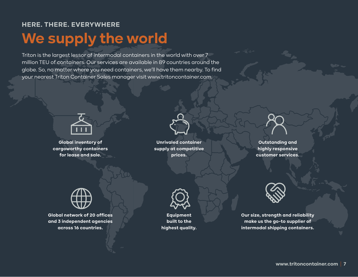### **HERE. THERE. EVERYWHERE**

# **We supply the world**

Triton is the largest lessor of intermodal containers in the world with over 7 million TEU of containers. Our services are available in 89 countries around the globe. So, no matter where you need containers, we'll have them nearby. To find your nearest Triton Container Sales manager visit www.tritoncontainer.com.



**Global inventory of cargoworthy containers for lease and sale.**



**Unrivaled container supply at competitive prices.** 

**Outstanding and highly responsive customer services.** 



**Global network of 20 offices and 3 independent agencies across 16 countries.** 



**Equipment built to the highest quality.**



**Our size, strength and reliability make us the go-to supplier of intermodal shipping containers.**